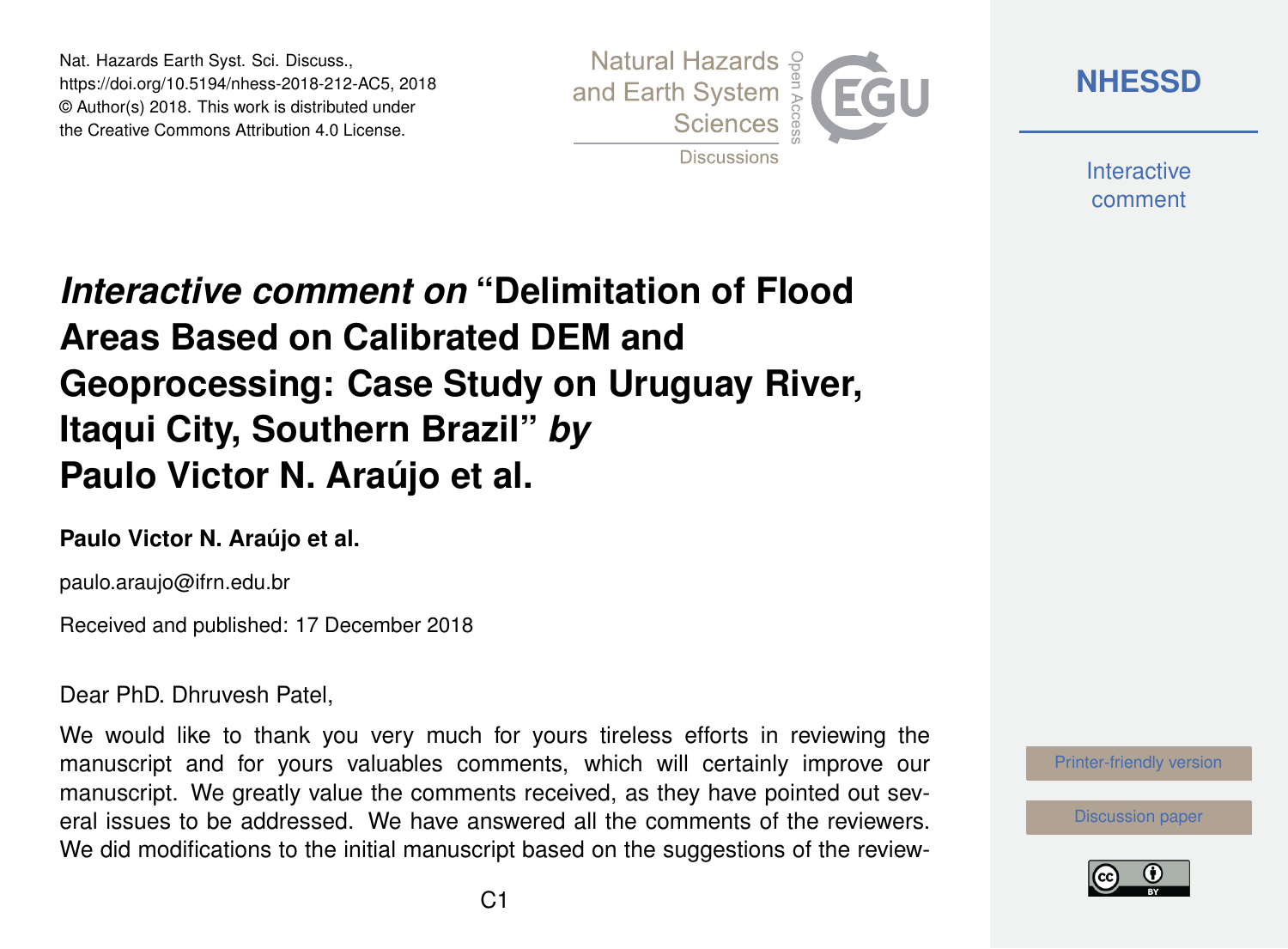Nat. Hazards Earth Syst. Sci. Discuss., https://doi.org/10.5194/nhess-2018-212-AC5, 2018 © Author(s) 2018. This work is distributed under the Creative Commons Attribution 4.0 License.



**[NHESSD](https://www.nat-hazards-earth-syst-sci-discuss.net/)**

**Interactive** comment

## *Interactive comment on* **"Delimitation of Flood Areas Based on Calibrated DEM and Geoprocessing: Case Study on Uruguay River, Itaqui City, Southern Brazil"** *by* **Paulo Victor N. Araújo et al.**

## **Paulo Victor N. Araújo et al.**

paulo.araujo@ifrn.edu.br

Received and published: 17 December 2018

Dear PhD. Dhruvesh Patel,

We would like to thank you very much for yours tireless efforts in reviewing the manuscript and for yours valuables comments, which will certainly improve our manuscript. We greatly value the comments received, as they have pointed out several issues to be addressed. We have answered all the comments of the reviewers. We did modifications to the initial manuscript based on the suggestions of the review-

[Printer-friendly version](https://www.nat-hazards-earth-syst-sci-discuss.net/nhess-2018-212/nhess-2018-212-AC5-print.pdf)

[Discussion paper](https://www.nat-hazards-earth-syst-sci-discuss.net/nhess-2018-212)